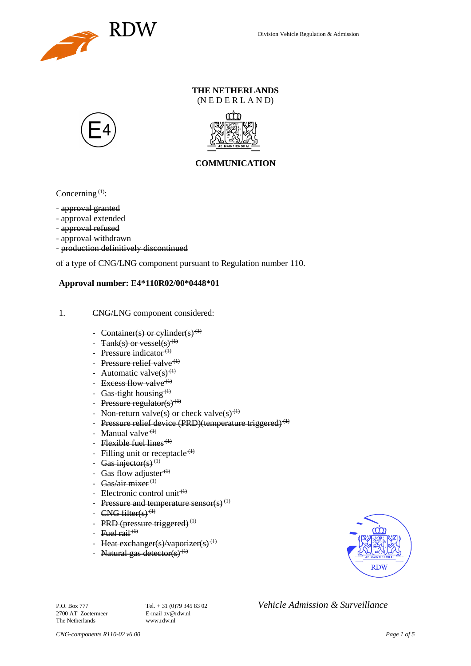

### **THE NETHERLANDS** (N E D E R L A N D)





### **COMMUNICATION**

Concerning  $(1)$ :

- approval granted
- approval extended
- approval refused
- approval withdrawn
- production definitively discontinued

of a type of CNG/LNG component pursuant to Regulation number 110.

#### **Approval number: E4\*110R02/00\*0448\*01**

- 1. CNG/LNG component considered:
	- Container(s) or cylinder(s)<sup>(1)</sup>
	- Tank(s) or vessel(s)<sup>(1)</sup>
	- Pressure indicator $(1)$
	- Pressure relief valve<sup> $(1)$ </sup>
	- Automatic valve $(s)$ <sup>(1)</sup>
	- Excess flow valve $(1)$
	- Gas-tight housing<sup> $(1)$ </sup>
	- Pressure regulator(s) $(1)$
	- Non-return valve(s) or check valve(s)<sup>(1)</sup>
	- Pressure relief device (PRD)(temperature triggered)<sup>(1)</sup>
	- Manual valve $<sup>(1)</sup>$ </sup>
	- Flexible fuel lines<sup> $(1)$ </sup>
	- Filling unit or receptacle  $(1)$
	- Gas injector(s)<sup>(1)</sup>
	- Gas flow adjuster $^{(1)}$
	- Gas/air mixer<sup>(1)</sup>
	- Electronic control unit<sup>(1)</sup>
	- Pressure and temperature sensor(s)<sup>(1)</sup>
	- $CNG$  filter(s)<sup>(1)</sup>
	- PRD (pressure triggered) $<sup>(1)</sup>$ </sup>
	- Fuel rail  $(1)$
	- Heat exchanger(s)/vaporizer(s)<sup>(1)</sup>
	- Natural gas detector(s)<sup>(1)</sup>



2700 AT Zoetermeer The Netherlands www.rdw.nl

P.O. Box 777<br> **P.O. Box 777** Tel. + 31 (0)79 345 83 02 *Vehicle Admission & Surveillance*<br>
F-mail ttv@rdw.nl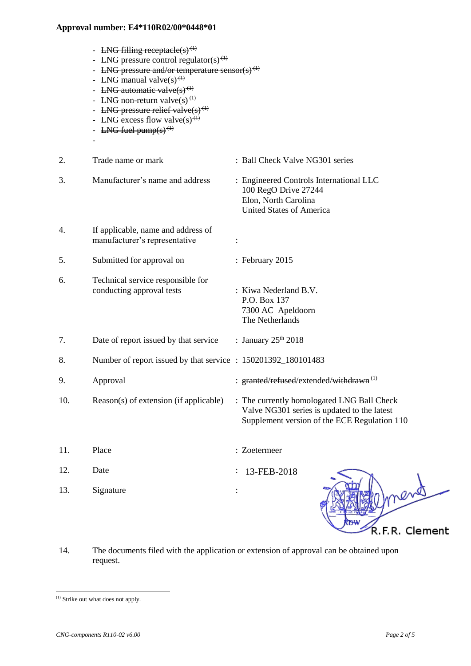- LNG filling receptacle(s)<sup>(1)</sup>

|     | - LNG pressure control regulator(s) <sup>(1)</sup><br>- LNG pressure and/or temperature sensor(s) <sup>(1)</sup><br>- LNG manual valve $(s)$ <sup>(1)</sup><br>- LNG automatic valve(s) <sup>(1)</sup><br>- LNG non-return valve(s) $^{(1)}$<br>- LNG pressure relief valve $(s)$ <sup>(1)</sup><br>- LNG excess flow valve(s) <sup>(1)</sup><br>- LNG fuel pump(s) <sup>(1)</sup> |                                                                                                                                           |
|-----|------------------------------------------------------------------------------------------------------------------------------------------------------------------------------------------------------------------------------------------------------------------------------------------------------------------------------------------------------------------------------------|-------------------------------------------------------------------------------------------------------------------------------------------|
| 2.  | Trade name or mark                                                                                                                                                                                                                                                                                                                                                                 | : Ball Check Valve NG301 series                                                                                                           |
| 3.  | Manufacturer's name and address                                                                                                                                                                                                                                                                                                                                                    | : Engineered Controls International LLC<br>100 RegO Drive 27244<br>Elon, North Carolina<br><b>United States of America</b>                |
| 4.  | If applicable, name and address of<br>manufacturer's representative                                                                                                                                                                                                                                                                                                                |                                                                                                                                           |
| 5.  | Submitted for approval on                                                                                                                                                                                                                                                                                                                                                          | : February 2015                                                                                                                           |
| 6.  | Technical service responsible for<br>conducting approval tests                                                                                                                                                                                                                                                                                                                     | : Kiwa Nederland B.V.<br>P.O. Box 137<br>7300 AC Apeldoorn<br>The Netherlands                                                             |
| 7.  | Date of report issued by that service                                                                                                                                                                                                                                                                                                                                              | : January $25th 2018$                                                                                                                     |
| 8.  | Number of report issued by that service : 150201392_180101483                                                                                                                                                                                                                                                                                                                      |                                                                                                                                           |
| 9.  | Approval                                                                                                                                                                                                                                                                                                                                                                           | : granted/refused/extended/withdrawn <sup>(1)</sup>                                                                                       |
| 10. | Reason(s) of extension (if applicable)                                                                                                                                                                                                                                                                                                                                             | : The currently homologated LNG Ball Check<br>Valve NG301 series is updated to the latest<br>Supplement version of the ECE Regulation 110 |
| 11. | Place                                                                                                                                                                                                                                                                                                                                                                              | : Zoetermeer                                                                                                                              |
| 12. | Date                                                                                                                                                                                                                                                                                                                                                                               | 13-FEB-2018                                                                                                                               |
| 13. | Signature                                                                                                                                                                                                                                                                                                                                                                          | nend                                                                                                                                      |

14. The documents filed with the application or extension of approval can be obtained upon request.

l

R.F.R. Clement

<sup>(1)</sup> Strike out what does not apply.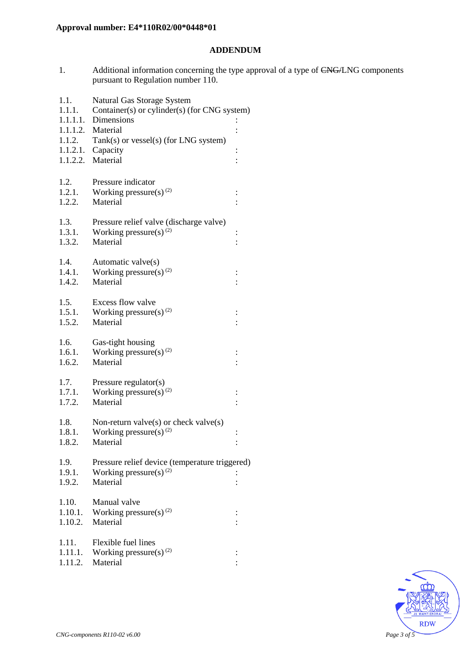### **ADDENDUM**

1. Additional information concerning the type approval of a type of CNG/LNG components pursuant to Regulation number 110.

| 1.1.<br>1.1.1. | Natural Gas Storage System<br>Container(s) or cylinder(s) (for CNG system) |                |  |
|----------------|----------------------------------------------------------------------------|----------------|--|
| 1.1.1.1.       | Dimensions                                                                 |                |  |
|                | 1.1.1.2. Material                                                          |                |  |
| 1.1.2.         | Tank(s) or vessel(s) (for LNG system)                                      |                |  |
|                | $1.1.2.1.$ Capacity                                                        | $\vdots$       |  |
|                | 1.1.2.2. Material                                                          |                |  |
|                |                                                                            |                |  |
| 1.2.<br>1.2.1. | Pressure indicator<br>Working pressure(s) $(2)$                            |                |  |
| 1.2.2.         | Material                                                                   | $\vdots$       |  |
|                |                                                                            |                |  |
| 1.3.           | Pressure relief valve (discharge valve)                                    |                |  |
| 1.3.1.         | Working pressure(s) $^{(2)}$                                               | $\vdots$       |  |
| 1.3.2.         | Material                                                                   |                |  |
| 1.4.           | Automatic valve(s)                                                         |                |  |
| 1.4.1.         | Working pressure(s) $^{(2)}$                                               | $\vdots$       |  |
| 1.4.2.         | Material                                                                   |                |  |
|                |                                                                            |                |  |
| 1.5.           | Excess flow valve                                                          |                |  |
| 1.5.1.         | Working pressure(s) $^{(2)}$                                               | $\ddot{\cdot}$ |  |
| 1.5.2.         | Material                                                                   |                |  |
| 1.6.           | Gas-tight housing                                                          |                |  |
| 1.6.1.         | Working pressure(s) $(2)$                                                  |                |  |
| 1.6.2.         | Material                                                                   |                |  |
|                |                                                                            |                |  |
| 1.7.<br>1.7.1. | Pressure regulator(s)<br>Working pressure(s) <sup>(2)</sup>                |                |  |
| 1.7.2.         | Material                                                                   | $\vdots$       |  |
|                |                                                                            |                |  |
| 1.8.           | Non-return valve $(s)$ or check valve $(s)$                                |                |  |
| 1.8.1.         | Working pressure(s) $^{(2)}$                                               | $\vdots$       |  |
| 1.8.2.         | Material                                                                   | $\vdots$       |  |
| 1.9.           | Pressure relief device (temperature triggered)                             |                |  |
| 1.9.1.         | Working pressure(s) $(2)$                                                  |                |  |
| 1.9.2.         | Material                                                                   |                |  |
|                |                                                                            |                |  |
| 1.10.          | Manual valve                                                               |                |  |
| 1.10.1.        | Working pressure(s) $^{(2)}$                                               | $\ddot{\cdot}$ |  |
| 1.10.2.        | Material                                                                   |                |  |
| 1.11.          | Flexible fuel lines                                                        |                |  |
| 1.11.1.        | Working pressure(s) $^{(2)}$                                               | $\vdots$       |  |
| 1.11.2.        | Material                                                                   |                |  |
|                |                                                                            |                |  |

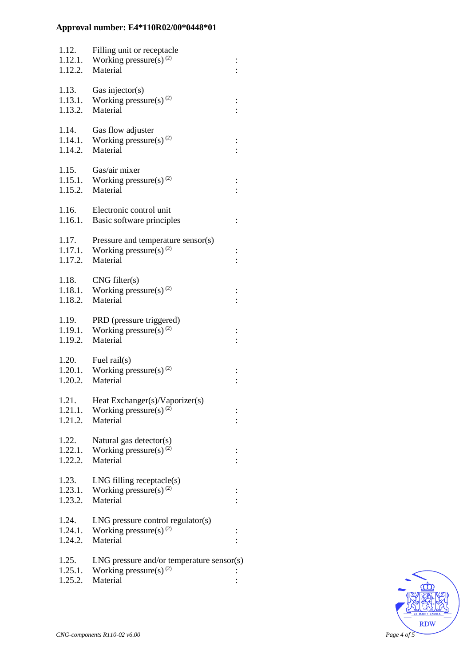| 1.12.<br>1.12.1.<br>1.12.2. | Filling unit or receptacle<br>Working pressure(s) $^{(2)}$<br>Material                  | $\vdots$       |
|-----------------------------|-----------------------------------------------------------------------------------------|----------------|
| 1.13.<br>1.13.1.<br>1.13.2. | Gas injector(s)<br>Working pressure(s) $^{(2)}$<br>Material                             |                |
| 1.14.<br>1.14.1.<br>1.14.2. | Gas flow adjuster<br>Working pressure(s) $(2)$<br>Material                              |                |
| 1.15.<br>1.15.1.<br>1.15.2. | Gas/air mixer<br>Working pressure(s) $^{(2)}$<br>Material                               |                |
| 1.16.<br>1.16.1.            | Electronic control unit<br>Basic software principles                                    | $\ddot{\cdot}$ |
| 1.17.<br>1.17.1.<br>1.17.2. | Pressure and temperature sensor(s)<br>Working pressure(s) $^{(2)}$<br>Material          |                |
| 1.18.<br>1.18.2.            | CNG filter(s)<br>1.18.1. Working pressure(s) <sup>(2)</sup><br>Material                 |                |
| 1.19.<br>1.19.1.<br>1.19.2. | PRD (pressure triggered)<br>Working pressure(s) $(2)$<br>Material                       |                |
| 1.20.<br>1.20.2.            | Fuel rail $(s)$<br>1.20.1. Working pressure(s) <sup>(2)</sup><br>Material               |                |
| 1.21.<br>1.21.1.<br>1.21.2. | Heat Exchanger(s)/Vaporizer(s)<br>Working pressure(s) $(2)$<br>Material                 |                |
| 1.22.<br>1.22.1.<br>1.22.2. | Natural gas detector(s)<br>Working pressure(s) $^{(2)}$<br>Material                     |                |
| 1.23.<br>1.23.1.<br>1.23.2. | $LNG$ filling receptacle $(s)$<br>Working pressure(s) $^{(2)}$<br>Material              |                |
| 1.24.<br>1.24.1.<br>1.24.2. | $LNG$ pressure control regulator(s)<br>Working pressure(s) $^{(2)}$<br>Material         |                |
| 1.25.<br>1.25.1.<br>1.25.2. | $LNG$ pressure and/or temperature sensor(s)<br>Working pressure(s) $^{(2)}$<br>Material |                |